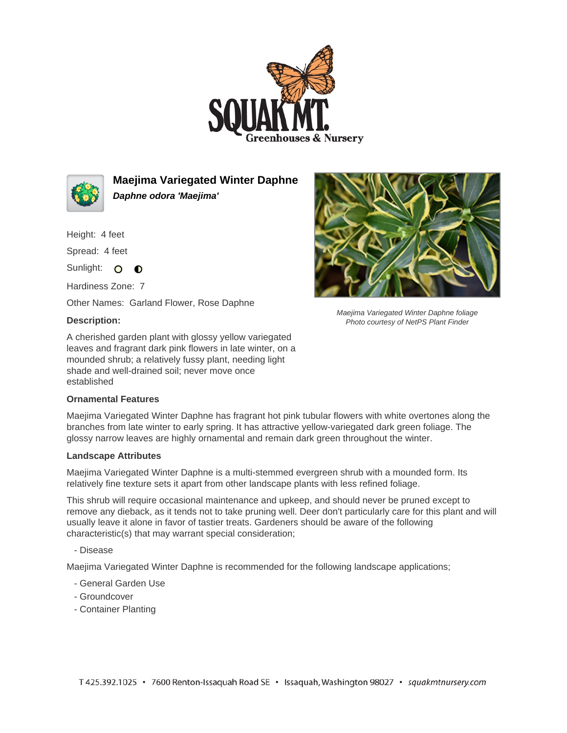



**Maejima Variegated Winter Daphne Daphne odora 'Maejima'**

Height: 4 feet

Spread: 4 feet

Sunlight: O O

Hardiness Zone: 7

Other Names: Garland Flower, Rose Daphne

## **Description:**

A cherished garden plant with glossy yellow variegated leaves and fragrant dark pink flowers in late winter, on a mounded shrub; a relatively fussy plant, needing light shade and well-drained soil; never move once established

## **Ornamental Features**

Maejima Variegated Winter Daphne has fragrant hot pink tubular flowers with white overtones along the branches from late winter to early spring. It has attractive yellow-variegated dark green foliage. The glossy narrow leaves are highly ornamental and remain dark green throughout the winter.

## **Landscape Attributes**

Maejima Variegated Winter Daphne is a multi-stemmed evergreen shrub with a mounded form. Its relatively fine texture sets it apart from other landscape plants with less refined foliage.

This shrub will require occasional maintenance and upkeep, and should never be pruned except to remove any dieback, as it tends not to take pruning well. Deer don't particularly care for this plant and will usually leave it alone in favor of tastier treats. Gardeners should be aware of the following characteristic(s) that may warrant special consideration;

- Disease

Maejima Variegated Winter Daphne is recommended for the following landscape applications;

- General Garden Use
- Groundcover
- Container Planting



Maejima Variegated Winter Daphne foliage Photo courtesy of NetPS Plant Finder